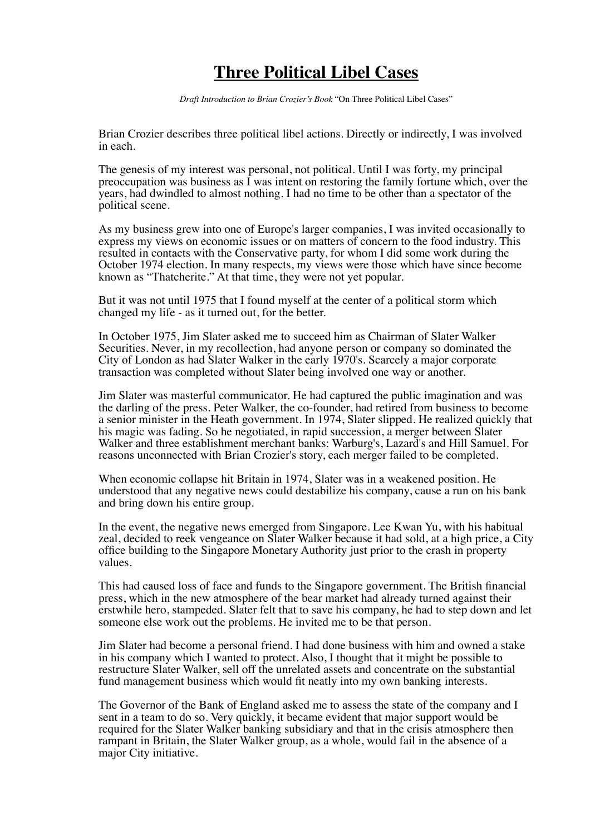## **Three Political Libel Cases**

*Draft Introduction to Brian Crozier's Book* "On Three Political Libel Cases"

Brian Crozier describes three political libel actions. Directly or indirectly, I was involved in each.

The genesis of my interest was personal, not political. Until I was forty, my principal preoccupation was business as  $\tilde{I}$  was intent on restoring the family fortune which, over the years, had dwindled to almost nothing. I had no time to be other than a spectator of the political scene.

As my business grew into one of Europe's larger companies, I was invited occasionally to express my views on economic issues or on matters of concern to the food industry. This resulted in contacts with the Conservative party, for whom I did some work during the October 1974 election. In many respects, my views were those which have since become known as "Thatcherite." At that time, they were not yet popular.

But it was not until 1975 that I found myself at the center of a political storm which changed my life - as it turned out, for the better.

In October 1975, Jim Slater asked me to succeed him as Chairman of Slater Walker Securities. Never, in my recollection, had anyone person or company so dominated the City of London as had Slater Walker in the early 1970's. Scarcely a major corporate transaction was completed without Slater being involved one way or another.

Jim Slater was masterful communicator. He had captured the public imagination and was the darling of the press. Peter Walker, the co-founder, had retired from business to become a senior minister in the Heath government. In 1974, Slater slipped. He realized quickly that his magic was fading. So he negotiated, in rapid succession, a merger between Slater Walker and three establishment merchant banks: Warburg's, Lazard's and Hill Samuel. For reasons unconnected with Brian Crozier's story, each merger failed to be completed.

When economic collapse hit Britain in 1974, Slater was in a weakened position. He understood that any negative news could destabilize his company, cause a run on his bank and bring down his entire group.

In the event, the negative news emerged from Singapore. Lee Kwan Yu, with his habitual zeal, decided to reek vengeance on Slater Walker because it had sold, at a high price, a City office building to the Singapore Monetary Authority just prior to the crash in property values.

This had caused loss of face and funds to the Singapore government. The British financial press, which in the new atmosphere of the bear market had already turned against their erstwhile hero, stampeded. Slater felt that to save his company, he had to step down and let someone else work out the problems. He invited me to be that person.

Jim Slater had become a personal friend. I had done business with him and owned a stake in his company which I wanted to protect. Also, I thought that it might be possible to restructure Slater Walker, sell off the unrelated assets and concentrate on the substantial fund management business which would fit neatly into my own banking interests.

The Governor of the Bank of England asked me to assess the state of the company and I sent in a team to do so. Very quickly, it became evident that major support would be required for the Slater Walker banking subsidiary and that in the crisis atmosphere then rampant in Britain, the Slater Walker group, as a whole, would fail in the absence of a major City initiative.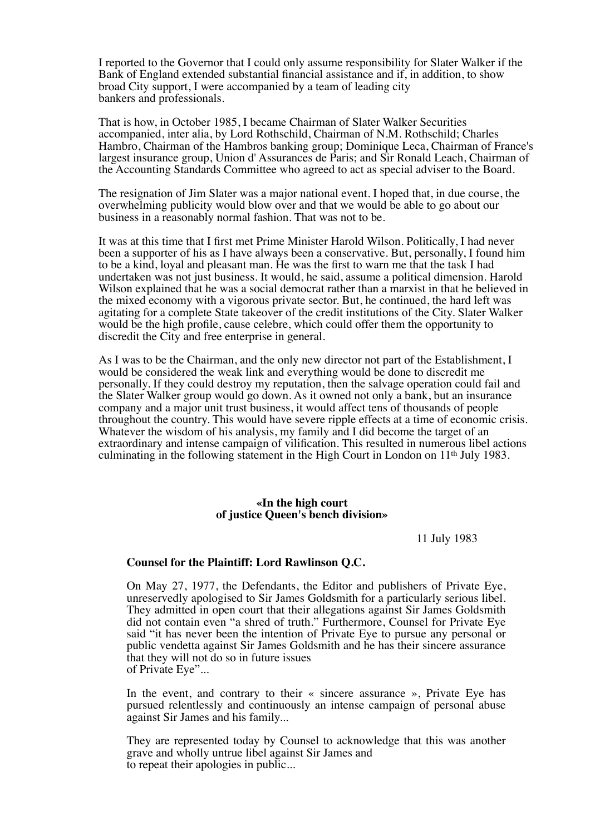I reported to the Governor that I could only assume responsibility for Slater Walker if the Bank of England extended substantial financial assistance and if, in addition, to show broad City support, I were accompanied by a team of leading city bankers and professionals.

That is how, in October 1985, I became Chairman of Slater Walker Securities accompanied, inter alia, by Lord Rothschild, Chairman of N.M. Rothschild; Charles Hambro, Chairman of the Hambros banking group; Dominique Leca, Chairman of France's largest insurance group, Union d' Assurances de Paris; and Sir Ronald Leach, Chairman of the Accounting Standards Committee who agreed to act as special adviser to the Board.

The resignation of Jim Slater was a major national event. I hoped that, in due course, the overwhelming publicity would blow over and that we would be able to go about our business in a reasonably normal fashion. That was not to be.

It was at this time that I first met Prime Minister Harold Wilson. Politically, I had never been a supporter of his as I have always been a conservative. But, personally, I found him to be a kind, loyal and pleasant man. He was the first to warn me that the task I had undertaken was not just business. It would, he said, assume a political dimension. Harold Wilson explained that he was a social democrat rather than a marxist in that he believed in the mixed economy with a vigorous private sector. But, he continued, the hard left was agitating for a complete State takeover of the credit institutions of the City. Slater Walker would be the high profile, cause celebre, which could offer them the opportunity to discredit the City and free enterprise in general.

As I was to be the Chairman, and the only new director not part of the Establishment, I would be considered the weak link and everything would be done to discredit me personally. If they could destroy my reputation, then the salvage operation could fail and the Slater Walker group would go down. As it owned not only a bank, but an insurance company and a major unit trust business, it would affect tens of thousands of people throughout the country. This would have severe ripple effects at a time of economic crisis. Whatever the wisdom of his analysis, my family and I did become the target of an extraordinary and intense campaign of vilification. This resulted in numerous libel actions culminating in the following statement in the High Court in London on 11th July 1983.

## **«In the high court of justice Queen's bench division»**

11 July 1983

## **Counsel for the Plaintiff: Lord Rawlinson Q.C.**

On May 27, 1977, the Defendants, the Editor and publishers of Private Eye, unreservedly apologised to Sir James Goldsmith for a particularly serious libel. They admitted in open court that their allegations against Sir James Goldsmith did not contain even "a shred of truth." Furthermore, Counsel for Private Eye said "it has never been the intention of Private Eye to pursue any personal or public vendetta against Sir James Goldsmith and he has their sincere assurance that they will not do so in future issues of Private Eye"...

In the event, and contrary to their « sincere assurance », Private Eye has pursued relentlessly and continuously an intense campaign of personal abuse against Sir James and his family...

They are represented today by Counsel to acknowledge that this was another grave and wholly untrue libel against Sir James and to repeat their apologies in public...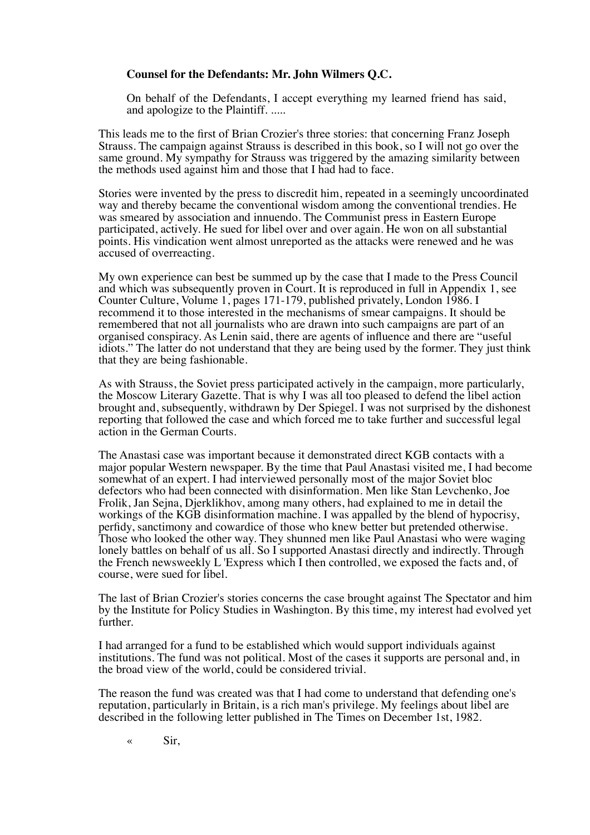## **Counsel for the Defendants: Mr. John Wilmers Q.C.**

On behalf of the Defendants, I accept everything my learned friend has said, and apologize to the Plaintiff. .....

This leads me to the first of Brian Crozier's three stories: that concerning Franz Joseph Strauss. The campaign against Strauss is described in this book, so I will not go over the same ground. My sympathy for Strauss was triggered by the amazing similarity between the methods used against him and those that I had had to face.

Stories were invented by the press to discredit him, repeated in a seemingly uncoordinated way and thereby became the conventional wisdom among the conventional trendies. He was smeared by association and innuendo. The Communist press in Eastern Europe participated, actively. He sued for libel over and over again. He won on all substantial points. His vindication went almost unreported as the attacks were renewed and he was accused of overreacting.

My own experience can best be summed up by the case that I made to the Press Council and which was subsequently proven in Court. It is reproduced in full in Appendix 1, see Counter Culture, Volume 1, pages 171-179, published privately, London 1986. I recommend it to those interested in the mechanisms of smear campaigns. It should be remembered that not all journalists who are drawn into such campaigns are part of an organised conspiracy. As Lenin said, there are agents of influence and there are "useful idiots." The latter do not understand that they are being used by the former. They just think that they are being fashionable.

As with Strauss, the Soviet press participated actively in the campaign, more particularly, the Moscow Literary Gazette. That is why I was all too pleased to defend the libel action brought and, subsequently, withdrawn by Der Spiegel. I was not surprised by the dishonest reporting that followed the case and which forced me to take further and successful legal action in the German Courts.

The Anastasi case was important because it demonstrated direct KGB contacts with a major popular Western newspaper. By the time that Paul Anastasi visited me, I had become somewhat of an expert. I had interviewed personally most of the major Soviet bloc defectors who had been connected with disinformation. Men like Stan Levchenko, Joe Frolik, Jan Sejna, Djerklikhov, among many others, had explained to me in detail the workings of the KGB disinformation machine. I was appalled by the blend of hypocrisy, perfidy, sanctimony and cowardice of those who knew better but pretended otherwise. Those who looked the other way. They shunned men like Paul Anastasi who were waging lonely battles on behalf of us all. So I supported Anastasi directly and indirectly. Through the French newsweekly L 'Express which I then controlled, we exposed the facts and, of course, were sued for libel.

The last of Brian Crozier's stories concerns the case brought against The Spectator and him by the Institute for Policy Studies in Washington. By this time, my interest had evolved yet further.

I had arranged for a fund to be established which would support individuals against institutions. The fund was not political. Most of the cases it supports are personal and, in the broad view of the world, could be considered trivial.

The reason the fund was created was that I had come to understand that defending one's reputation, particularly in Britain, is a rich man's privilege. My feelings about libel are described in the following letter published in The Times on December 1st, 1982.

 $\ll$  Sir,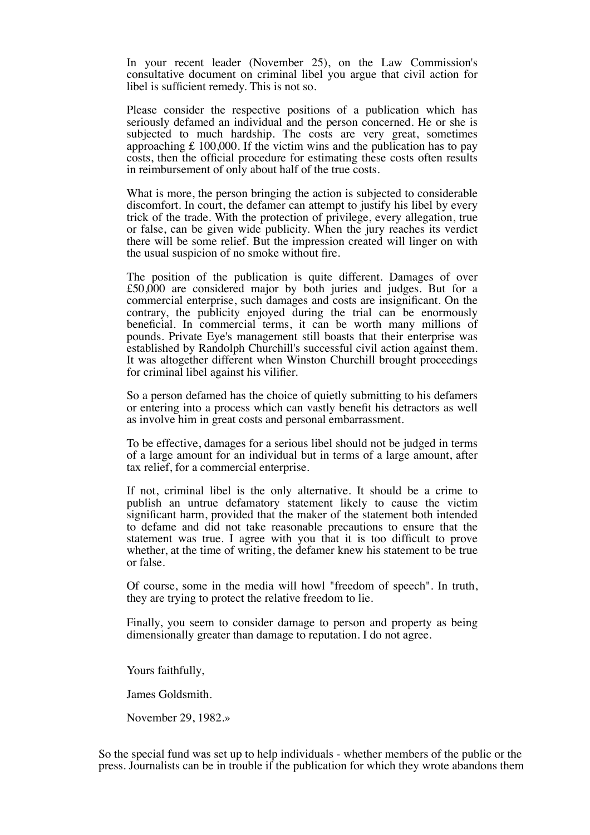In your recent leader (November 25), on the Law Commission's consultative document on criminal libel you argue that civil action for libel is sufficient remedy. This is not so.

Please consider the respective positions of a publication which has seriously defamed an individual and the person concerned. He or she is subjected to much hardship. The costs are very great, sometimes approaching £ 100,000. If the victim wins and the publication has to pay costs, then the official procedure for estimating these costs often results in reimbursement of only about half of the true costs.

What is more, the person bringing the action is subjected to considerable discomfort. In court, the defamer can attempt to justify his libel by every trick of the trade. With the protection of privilege, every allegation, true or false, can be given wide publicity. When the jury reaches its verdict there will be some relief. But the impression created will linger on with the usual suspicion of no smoke without fire.

The position of the publication is quite different. Damages of over £50,000 are considered major by both juries and judges. But for a commercial enterprise, such damages and costs are insignificant. On the contrary, the publicity enjoyed during the trial can be enormously beneficial. In commercial terms, it can be worth many millions of pounds. Private Eye's management still boasts that their enterprise was established by Randolph Churchill's successful civil action against them. It was altogether different when Winston Churchill brought proceedings for criminal libel against his vilifier.

So a person defamed has the choice of quietly submitting to his defamers or entering into a process which can vastly benefit his detractors as well as involve him in great costs and personal embarrassment.

To be effective, damages for a serious libel should not be judged in terms of a large amount for an individual but in terms of a large amount, after tax relief, for a commercial enterprise.

If not, criminal libel is the only alternative. It should be a crime to publish an untrue defamatory statement likely to cause the victim significant harm, provided that the maker of the statement both intended to defame and did not take reasonable precautions to ensure that the statement was true. I agree with you that it is too difficult to prove whether, at the time of writing, the defamer knew his statement to be true or false.

Of course, some in the media will howl "freedom of speech". In truth, they are trying to protect the relative freedom to lie.

Finally, you seem to consider damage to person and property as being dimensionally greater than damage to reputation. I do not agree.

Yours faithfully,

James Goldsmith.

November 29, 1982.»

So the special fund was set up to help individuals - whether members of the public or the press. Journalists can be in trouble if the publication for which they wrote abandons them